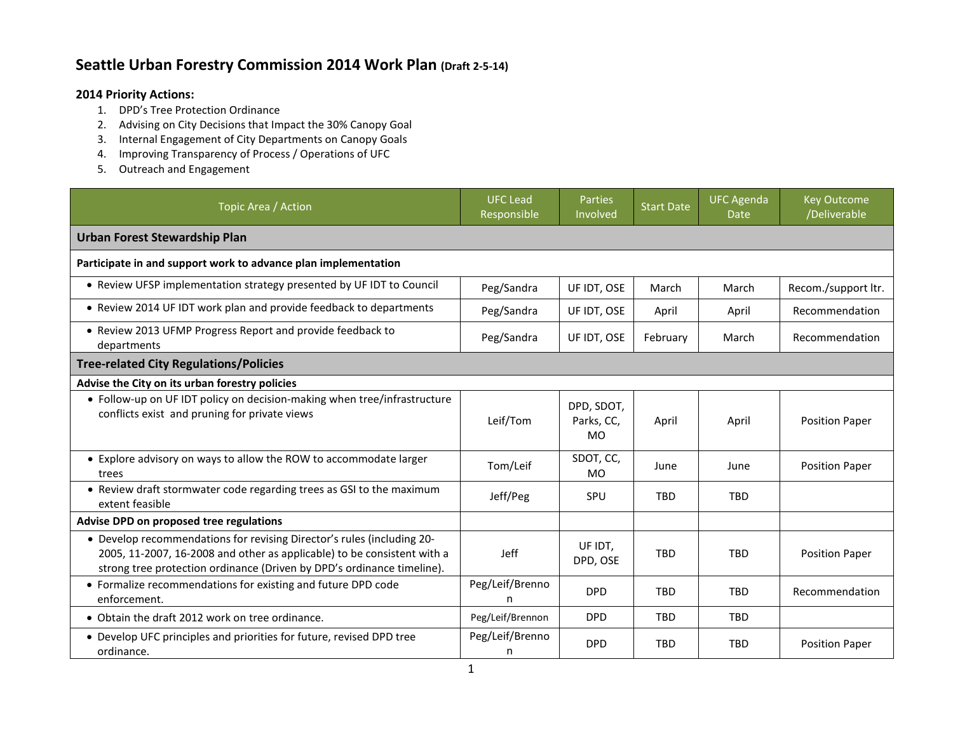## **Seattle Urban Forestry Commission 2014 Work Plan (Draft 2-5-14)**

## **2014 Priority Actions:**

- 1. DPD's Tree Protection Ordinance
- 2. Advising on City Decisions that Impact the 30% Canopy Goal
- 3. Internal Engagement of City Departments on Canopy Goals
- 4. Improving Transparency of Process / Operations of UFC
- 5. Outreach and Engagement

| Topic Area / Action                                                                                                                                                                                                         | <b>UFC Lead</b><br>Responsible | <b>Parties</b><br>Involved            | <b>Start Date</b> | <b>UFC Agenda</b><br>Date | <b>Key Outcome</b><br>/Deliverable |  |  |  |  |
|-----------------------------------------------------------------------------------------------------------------------------------------------------------------------------------------------------------------------------|--------------------------------|---------------------------------------|-------------------|---------------------------|------------------------------------|--|--|--|--|
| <b>Urban Forest Stewardship Plan</b>                                                                                                                                                                                        |                                |                                       |                   |                           |                                    |  |  |  |  |
| Participate in and support work to advance plan implementation                                                                                                                                                              |                                |                                       |                   |                           |                                    |  |  |  |  |
| • Review UFSP implementation strategy presented by UF IDT to Council                                                                                                                                                        | Peg/Sandra                     | UF IDT, OSE                           | March             | March                     | Recom./support ltr.                |  |  |  |  |
| • Review 2014 UF IDT work plan and provide feedback to departments                                                                                                                                                          | Peg/Sandra                     | UF IDT, OSE                           | April             | April                     | Recommendation                     |  |  |  |  |
| • Review 2013 UFMP Progress Report and provide feedback to<br>departments                                                                                                                                                   | Peg/Sandra                     | UF IDT, OSE                           | February          | March                     | Recommendation                     |  |  |  |  |
| <b>Tree-related City Regulations/Policies</b>                                                                                                                                                                               |                                |                                       |                   |                           |                                    |  |  |  |  |
| Advise the City on its urban forestry policies                                                                                                                                                                              |                                |                                       |                   |                           |                                    |  |  |  |  |
| • Follow-up on UF IDT policy on decision-making when tree/infrastructure<br>conflicts exist and pruning for private views                                                                                                   | Leif/Tom                       | DPD, SDOT,<br>Parks, CC,<br><b>MO</b> | April             | April                     | <b>Position Paper</b>              |  |  |  |  |
| • Explore advisory on ways to allow the ROW to accommodate larger<br>trees                                                                                                                                                  | Tom/Leif                       | SDOT, CC,<br><b>MO</b>                | June              | June                      | <b>Position Paper</b>              |  |  |  |  |
| • Review draft stormwater code regarding trees as GSI to the maximum<br>extent feasible                                                                                                                                     | Jeff/Peg                       | <b>SPU</b>                            | <b>TBD</b>        | <b>TBD</b>                |                                    |  |  |  |  |
| Advise DPD on proposed tree regulations                                                                                                                                                                                     |                                |                                       |                   |                           |                                    |  |  |  |  |
| • Develop recommendations for revising Director's rules (including 20-<br>2005, 11-2007, 16-2008 and other as applicable) to be consistent with a<br>strong tree protection ordinance (Driven by DPD's ordinance timeline). | Jeff                           | UF IDT.<br>DPD, OSE                   | <b>TBD</b>        | <b>TBD</b>                | <b>Position Paper</b>              |  |  |  |  |
| • Formalize recommendations for existing and future DPD code<br>enforcement.                                                                                                                                                | Peg/Leif/Brenno<br>n           | <b>DPD</b>                            | <b>TBD</b>        | <b>TBD</b>                | Recommendation                     |  |  |  |  |
| • Obtain the draft 2012 work on tree ordinance.                                                                                                                                                                             | Peg/Leif/Brennon               | <b>DPD</b>                            | <b>TBD</b>        | <b>TBD</b>                |                                    |  |  |  |  |
| • Develop UFC principles and priorities for future, revised DPD tree<br>ordinance.                                                                                                                                          | Peg/Leif/Brenno<br>n           | <b>DPD</b>                            | <b>TBD</b>        | <b>TBD</b>                | <b>Position Paper</b>              |  |  |  |  |